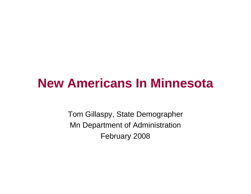# **New Americans In Minnesota**

Tom Gillaspy, State Demographer Mn Department of Administration February 2008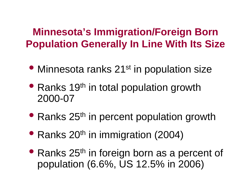## **Minnesota's Immigration/Foreign Born Population Generally In Line With Its Size**

- Minnesota ranks 21<sup>st</sup> in population size
- Ranks 19<sup>th</sup> in total population growth 2000-07
- Ranks 25<sup>th</sup> in percent population growth
- Ranks 20<sup>th</sup> in immigration (2004)
- Ranks 25<sup>th</sup> in foreign born as a percent of population (6.6%, US 12.5% in 2006)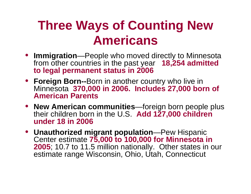# **Three Ways of Counting New Americans**

- **Immigration**—People who moved directly to Minnesota from other countries in the past year **18,254 admitted to legal permanent status in 2006**
- **Foreign Born--**Born in another country who live in Minnesota **370,000 in 2006. Includes 27,000 born of American Parents**
- **New American communities**—foreign born people plus their children born in the U.S. **Add 127,000 children under 18 in 2006**
- **Unauthorized migrant population**—Pew Hispanic Center estimate **75,000 to 100,000 for Minnesota in 2005**; 10.7 to 11.5 million nationally. Other states in our estimate range Wisconsin, Ohio, Utah, Connecticut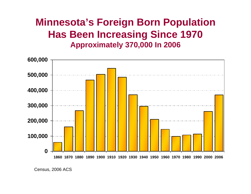## **Minnesota's Foreign Born Population Has Been Increasing Since 1970 Approximately 370,000 In 2006**



Census, 2006 ACS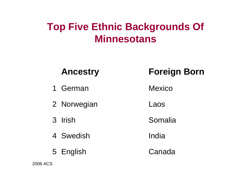## **Top Five Ethnic Backgrounds Of Minnesotans**

| <b>Ancestry</b> | <b>Foreign Born</b> |
|-----------------|---------------------|
| 1 German        | <b>Mexico</b>       |
| 2 Norwegian     | Laos                |
| 3 Irish         | Somalia             |
| 4 Swedish       | India               |
| 5 English       | Canada              |

2006 ACS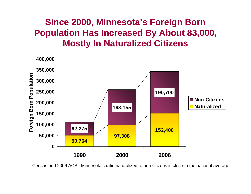### **Since 2000, Minnesota's Foreign Born Population Has Increased By About 83,000, Mostly In Naturalized Citizens**



Census and 2006 ACS. Minnesota's ratio naturalized to non-citizens is close to the national average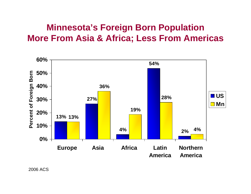#### **Minnesota's Foreign Born Population More From Asia & Africa; Less From Americas**

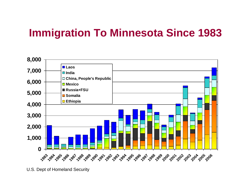## **Immigration To Minnesota Since 1983**



U.S. Dept of Homeland Security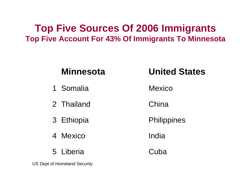#### **Top Five Sources Of 2006 Immigrants Top Five Account For 43% Of Immigrants To Minnesota**

| <b>Minnesota</b> | <b>United States</b> |
|------------------|----------------------|
| 1 Somalia        | Mexico               |
| 2 Thailand       | China                |
| 3 Ethiopia       | Philippines          |
| 4 Mexico         | India                |
| 5 Liberia        | <b>Guba</b>          |

US Dept of Homeland Security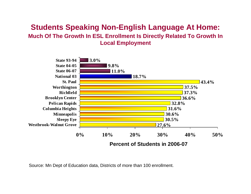#### **Students Speaking Non-English Language At Home: Much Of The Growth In ESL Enrollment Is Directly Related To Growth In Local Employment**



Source: Mn Dept of Education data, Districts of more than 100 enrollment.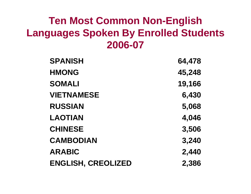## **Ten Most Common Non-English Languages Spoken By Enrolled Students 2006-07**

| <b>SPANISH</b>            | 64,478 |
|---------------------------|--------|
| <b>HMONG</b>              | 45,248 |
| <b>SOMALI</b>             | 19,166 |
| <b>VIETNAMESE</b>         | 6,430  |
| <b>RUSSIAN</b>            | 5,068  |
| <b>LAOTIAN</b>            | 4,046  |
| <b>CHINESE</b>            | 3,506  |
| <b>CAMBODIAN</b>          | 3,240  |
| <b>ARABIC</b>             | 2,440  |
| <b>ENGLISH, CREOLIZED</b> | 2,386  |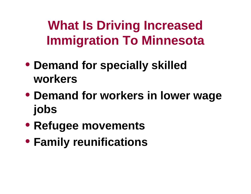**What Is Driving Increased Immigration To Minnesota**

- **Demand for specially skilled workers**
- **Demand for workers in lower wage jobs**
- **Refugee movements**
- **Family reunifications**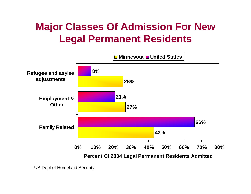## **Major Classes Of Admission For New Legal Permanent Residents**



US Dept of Homeland Security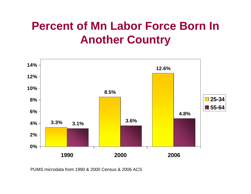# **Percent of Mn Labor Force Born In Another Country**



PUMS microdata from 1990 & 2000 Census & 2006 ACS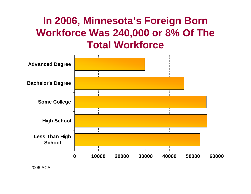## **In 2006, Minnesota's Foreign Born Workforce Was 240,000 or 8% Of The Total Workforce**



2006 ACS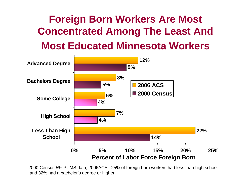# **Foreign Born Workers Are Most Concentrated Among The Least And Most Educated Minnesota Workers**



2000 Census 5% PUMS data, 2006ACS. 25% of foreign born workers had less than high school and 32% had a bachelor's degree or higher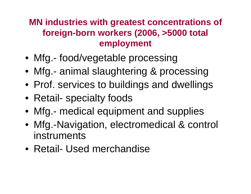### **MN industries with greatest concentrations of foreign-born workers (2006, >5000 total employment**

- Mfg.- food/vegetable processing
- Mfg.- animal slaughtering & processing
- Prof. services to buildings and dwellings
- Retail- specialty foods
- Mfg.- medical equipment and supplies
- Mfg.-Navigation, electromedical & control instruments
- Retail- Used merchandise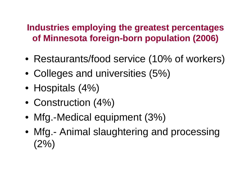#### **Industries employing the greatest percentages of Minnesota foreign-born population (2006)**

- Restaurants/food service (10% of workers)
- Colleges and universities (5%)
- Hospitals (4%)
- Construction (4%)
- Mfg.-Medical equipment (3%)
- Mfg.- Animal slaughtering and processing  $(2%)$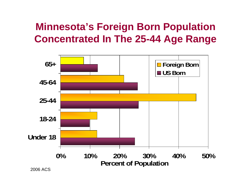## **Minnesota's Foreign Born Population Concentrated In The 25-44 Age Range**



2006 ACS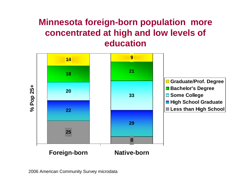#### **Minnesota foreign-born population more concentrated at high and low levels of education**